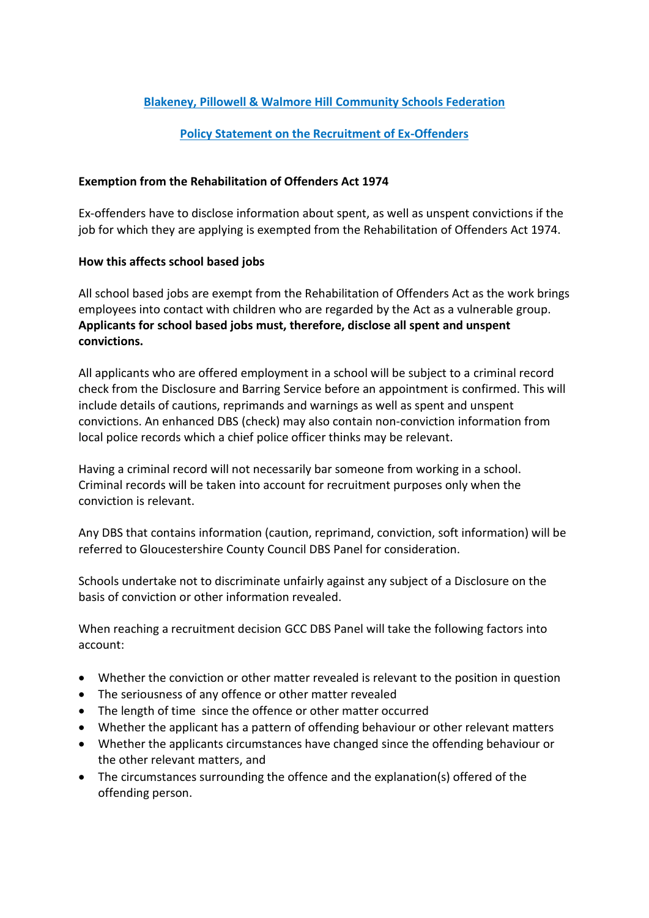## **Blakeney, Pillowell & Walmore Hill Community Schools Federation**

## **Policy Statement on the Recruitment of Ex-Offenders**

## **Exemption from the Rehabilitation of Offenders Act 1974**

Ex-offenders have to disclose information about spent, as well as unspent convictions if the job for which they are applying is exempted from the Rehabilitation of Offenders Act 1974.

## **How this affects school based jobs**

All school based jobs are exempt from the Rehabilitation of Offenders Act as the work brings employees into contact with children who are regarded by the Act as a vulnerable group. **Applicants for school based jobs must, therefore, disclose all spent and unspent convictions.** 

All applicants who are offered employment in a school will be subject to a criminal record check from the Disclosure and Barring Service before an appointment is confirmed. This will include details of cautions, reprimands and warnings as well as spent and unspent convictions. An enhanced DBS (check) may also contain non-conviction information from local police records which a chief police officer thinks may be relevant.

Having a criminal record will not necessarily bar someone from working in a school. Criminal records will be taken into account for recruitment purposes only when the conviction is relevant.

Any DBS that contains information (caution, reprimand, conviction, soft information) will be referred to Gloucestershire County Council DBS Panel for consideration.

Schools undertake not to discriminate unfairly against any subject of a Disclosure on the basis of conviction or other information revealed.

When reaching a recruitment decision GCC DBS Panel will take the following factors into account:

- Whether the conviction or other matter revealed is relevant to the position in question
- The seriousness of any offence or other matter revealed
- The length of time since the offence or other matter occurred
- Whether the applicant has a pattern of offending behaviour or other relevant matters
- Whether the applicants circumstances have changed since the offending behaviour or the other relevant matters, and
- The circumstances surrounding the offence and the explanation(s) offered of the offending person.